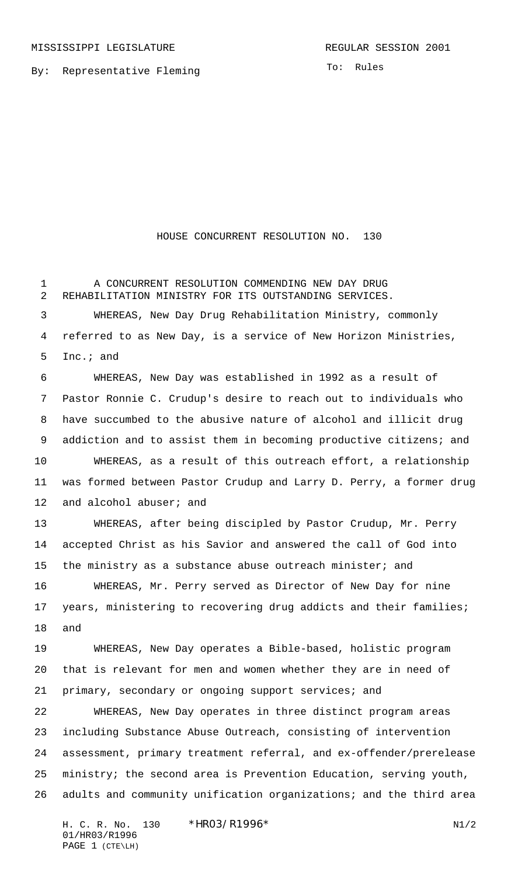MISSISSIPPI LEGISLATURE **REGULAR SESSION 2001** 

To: Rules

## HOUSE CONCURRENT RESOLUTION NO. 130

1 A CONCURRENT RESOLUTION COMMENDING NEW DAY DRUG REHABILITATION MINISTRY FOR ITS OUTSTANDING SERVICES.

 WHEREAS, New Day Drug Rehabilitation Ministry, commonly referred to as New Day, is a service of New Horizon Ministries, Inc.; and

 WHEREAS, New Day was established in 1992 as a result of Pastor Ronnie C. Crudup's desire to reach out to individuals who have succumbed to the abusive nature of alcohol and illicit drug 9 addiction and to assist them in becoming productive citizens; and WHEREAS, as a result of this outreach effort, a relationship was formed between Pastor Crudup and Larry D. Perry, a former drug 12 and alcohol abuser; and

 WHEREAS, after being discipled by Pastor Crudup, Mr. Perry accepted Christ as his Savior and answered the call of God into 15 the ministry as a substance abuse outreach minister; and

 WHEREAS, Mr. Perry served as Director of New Day for nine years, ministering to recovering drug addicts and their families; and

 WHEREAS, New Day operates a Bible-based, holistic program that is relevant for men and women whether they are in need of primary, secondary or ongoing support services; and

 WHEREAS, New Day operates in three distinct program areas including Substance Abuse Outreach, consisting of intervention assessment, primary treatment referral, and ex-offender/prerelease ministry; the second area is Prevention Education, serving youth, adults and community unification organizations; and the third area

H. C. R. No. 130 \*HRO3/R1996\* N1/2 01/HR03/R1996 PAGE 1 (CTE\LH)